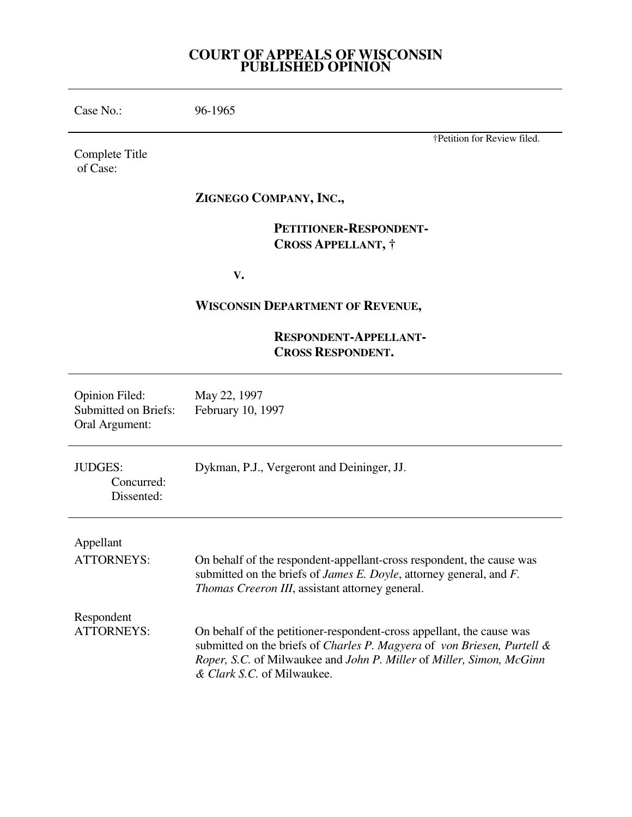## **COURT OF APPEALS OF WISCONSIN PUBLISHED OPINION**

Case No.: 96-1965

Complete Title of Case:

# **ZIGNEGO COMPANY, INC.,**

 **PETITIONER-RESPONDENT- CROSS APPELLANT, †** 

 **V.** 

# **WISCONSIN DEPARTMENT OF REVENUE,**

# **RESPONDENT-APPELLANT- CROSS RESPONDENT.**

| <b>Opinion Filed:</b><br><b>Submitted on Briefs:</b><br>Oral Argument: | May 22, 1997<br>February 10, 1997                                                                                                                                                                                                                      |
|------------------------------------------------------------------------|--------------------------------------------------------------------------------------------------------------------------------------------------------------------------------------------------------------------------------------------------------|
| <b>JUDGES:</b><br>Concurred:<br>Dissented:                             | Dykman, P.J., Vergeront and Deininger, JJ.                                                                                                                                                                                                             |
| Appellant                                                              |                                                                                                                                                                                                                                                        |
| <b>ATTORNEYS:</b>                                                      | On behalf of the respondent-appellant-cross respondent, the cause was<br>submitted on the briefs of <i>James E. Doyle</i> , attorney general, and <i>F.</i><br><i>Thomas Creeron III</i> , assistant attorney general.                                 |
| Respondent                                                             |                                                                                                                                                                                                                                                        |
| ATTORNEYS:                                                             | On behalf of the petitioner-respondent-cross appellant, the cause was<br>submitted on the briefs of Charles P. Magyera of von Briesen, Purtell &<br>Roper, S.C. of Milwaukee and John P. Miller of Miller, Simon, McGinn<br>& Clark S.C. of Milwaukee. |

†Petition for Review filed.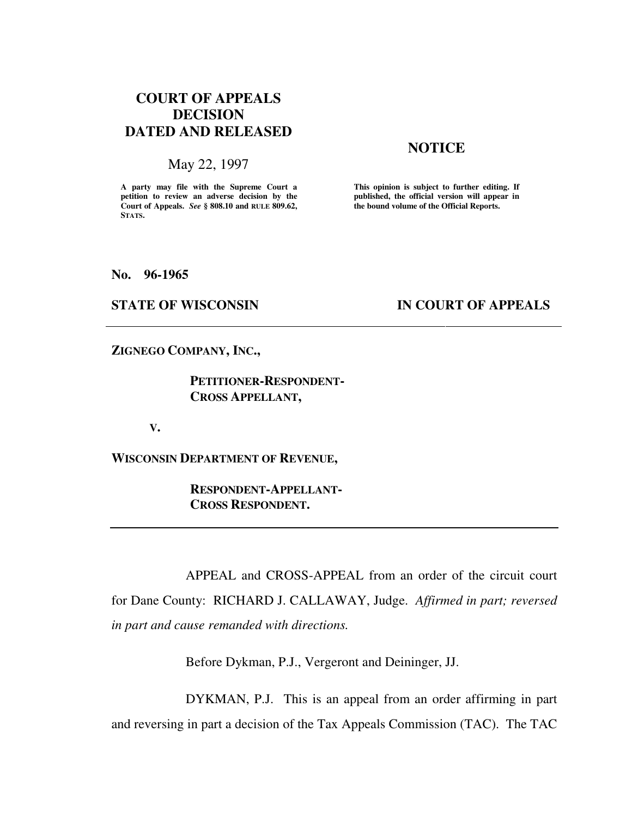# **COURT OF APPEALS DECISION DATED AND RELEASED**

### May 22, 1997

**A party may file with the Supreme Court a petition to review an adverse decision by the Court of Appeals.** *See* **§ 808.10 and RULE 809.62, STATS.**

### **NOTICE**

**This opinion is subject to further editing. If published, the official version will appear in the bound volume of the Official Reports.** 

#### **No. 96-1965**

### **STATE OF WISCONSIN IN COURT OF APPEALS**

**ZIGNEGO COMPANY, INC.,** 

 **PETITIONER-RESPONDENT- CROSS APPELLANT,** 

 **V.** 

**WISCONSIN DEPARTMENT OF REVENUE,** 

 **RESPONDENT-APPELLANT- CROSS RESPONDENT.** 

 APPEAL and CROSS-APPEAL from an order of the circuit court for Dane County: RICHARD J. CALLAWAY, Judge. *Affirmed in part; reversed in part and cause remanded with directions.*

Before Dykman, P.J., Vergeront and Deininger, JJ.

 DYKMAN, P.J. This is an appeal from an order affirming in part and reversing in part a decision of the Tax Appeals Commission (TAC). The TAC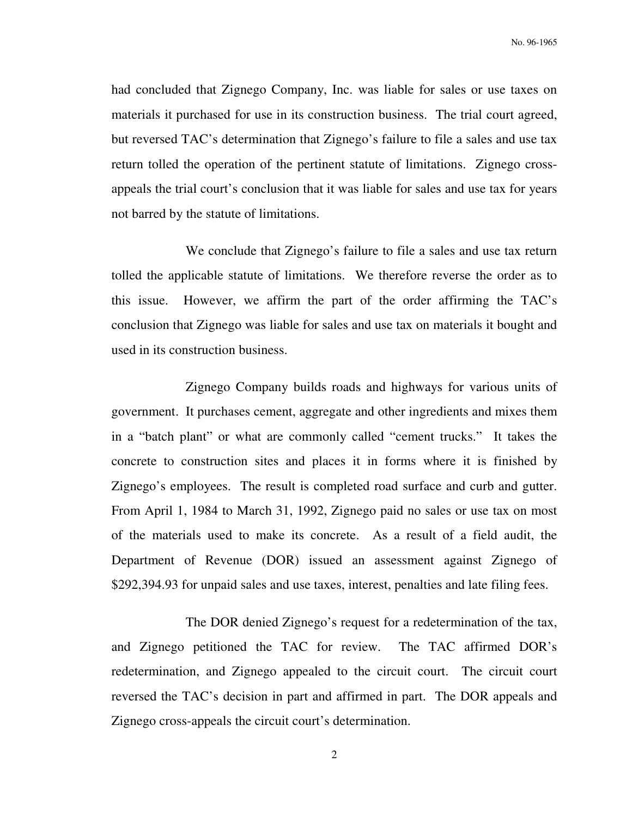had concluded that Zignego Company, Inc. was liable for sales or use taxes on materials it purchased for use in its construction business. The trial court agreed, but reversed TAC's determination that Zignego's failure to file a sales and use tax return tolled the operation of the pertinent statute of limitations. Zignego crossappeals the trial court's conclusion that it was liable for sales and use tax for years not barred by the statute of limitations.

 We conclude that Zignego's failure to file a sales and use tax return tolled the applicable statute of limitations. We therefore reverse the order as to this issue. However, we affirm the part of the order affirming the TAC's conclusion that Zignego was liable for sales and use tax on materials it bought and used in its construction business.

 Zignego Company builds roads and highways for various units of government. It purchases cement, aggregate and other ingredients and mixes them in a "batch plant" or what are commonly called "cement trucks." It takes the concrete to construction sites and places it in forms where it is finished by Zignego's employees. The result is completed road surface and curb and gutter. From April 1, 1984 to March 31, 1992, Zignego paid no sales or use tax on most of the materials used to make its concrete. As a result of a field audit, the Department of Revenue (DOR) issued an assessment against Zignego of \$292,394.93 for unpaid sales and use taxes, interest, penalties and late filing fees.

 The DOR denied Zignego's request for a redetermination of the tax, and Zignego petitioned the TAC for review. The TAC affirmed DOR's redetermination, and Zignego appealed to the circuit court. The circuit court reversed the TAC's decision in part and affirmed in part. The DOR appeals and Zignego cross-appeals the circuit court's determination.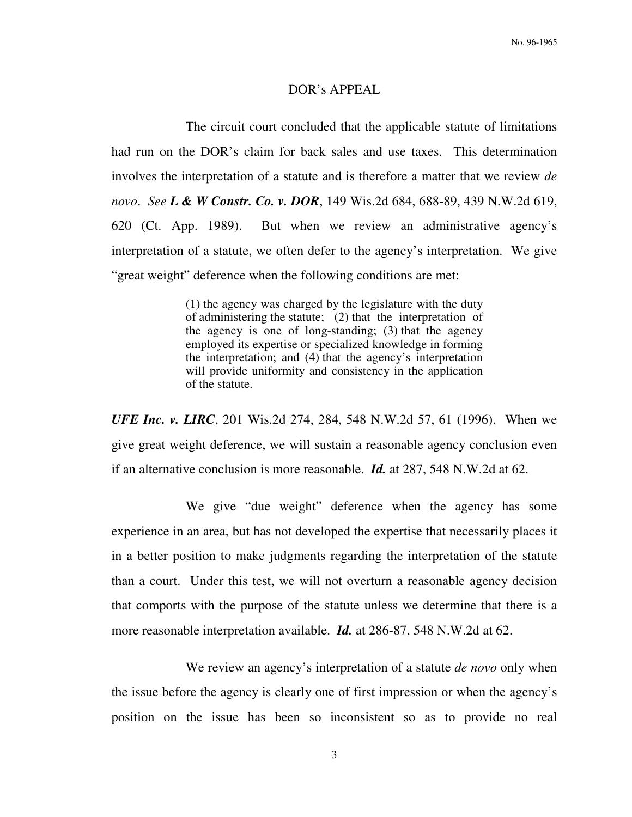#### DOR's APPEAL

 The circuit court concluded that the applicable statute of limitations had run on the DOR's claim for back sales and use taxes. This determination involves the interpretation of a statute and is therefore a matter that we review *de novo*. *See L & W Constr. Co. v. DOR*, 149 Wis.2d 684, 688-89, 439 N.W.2d 619, 620 (Ct. App. 1989). But when we review an administrative agency's interpretation of a statute, we often defer to the agency's interpretation. We give "great weight" deference when the following conditions are met:

> (1) the agency was charged by the legislature with the duty of administering the statute; (2) that the interpretation of the agency is one of long-standing; (3) that the agency employed its expertise or specialized knowledge in forming the interpretation; and (4) that the agency's interpretation will provide uniformity and consistency in the application of the statute.

*UFE Inc. v. LIRC*, 201 Wis.2d 274, 284, 548 N.W.2d 57, 61 (1996). When we give great weight deference, we will sustain a reasonable agency conclusion even if an alternative conclusion is more reasonable. *Id.* at 287, 548 N.W.2d at 62.

 We give "due weight" deference when the agency has some experience in an area, but has not developed the expertise that necessarily places it in a better position to make judgments regarding the interpretation of the statute than a court. Under this test, we will not overturn a reasonable agency decision that comports with the purpose of the statute unless we determine that there is a more reasonable interpretation available. *Id.* at 286-87, 548 N.W.2d at 62.

 We review an agency's interpretation of a statute *de novo* only when the issue before the agency is clearly one of first impression or when the agency's position on the issue has been so inconsistent so as to provide no real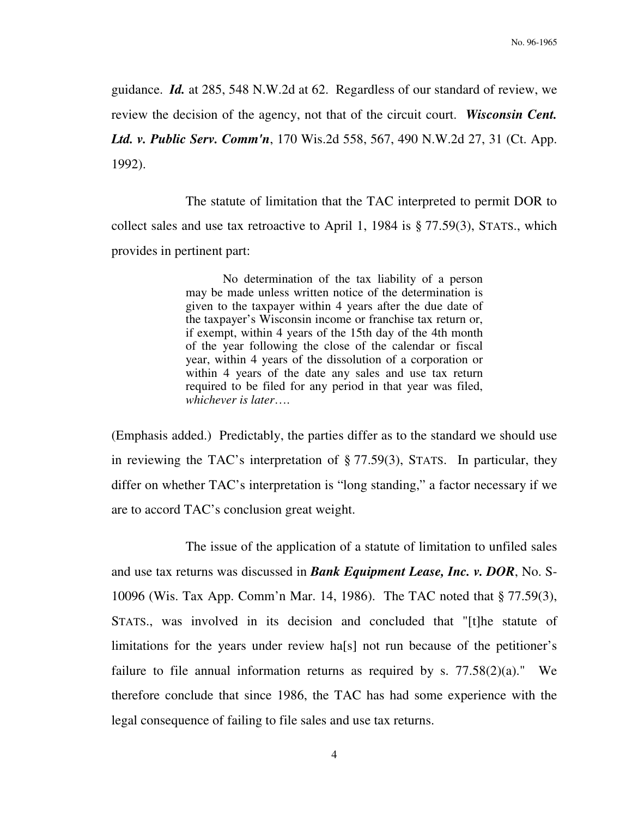guidance. *Id.* at 285, 548 N.W.2d at 62. Regardless of our standard of review, we review the decision of the agency, not that of the circuit court. *Wisconsin Cent. Ltd. v. Public Serv. Comm'n*, 170 Wis.2d 558, 567, 490 N.W.2d 27, 31 (Ct. App. 1992).

 The statute of limitation that the TAC interpreted to permit DOR to collect sales and use tax retroactive to April 1, 1984 is § 77.59(3), STATS., which provides in pertinent part:

> No determination of the tax liability of a person may be made unless written notice of the determination is given to the taxpayer within 4 years after the due date of the taxpayer's Wisconsin income or franchise tax return or, if exempt, within 4 years of the 15th day of the 4th month of the year following the close of the calendar or fiscal year, within 4 years of the dissolution of a corporation or within 4 years of the date any sales and use tax return required to be filed for any period in that year was filed, *whichever is later*….

(Emphasis added.) Predictably, the parties differ as to the standard we should use in reviewing the TAC's interpretation of § 77.59(3), STATS. In particular, they differ on whether TAC's interpretation is "long standing," a factor necessary if we are to accord TAC's conclusion great weight.

 The issue of the application of a statute of limitation to unfiled sales and use tax returns was discussed in *Bank Equipment Lease, Inc. v. DOR*, No. S-10096 (Wis. Tax App. Comm'n Mar. 14, 1986). The TAC noted that § 77.59(3), STATS., was involved in its decision and concluded that "[t]he statute of limitations for the years under review ha[s] not run because of the petitioner's failure to file annual information returns as required by s.  $77.58(2)(a)$ ." We therefore conclude that since 1986, the TAC has had some experience with the legal consequence of failing to file sales and use tax returns.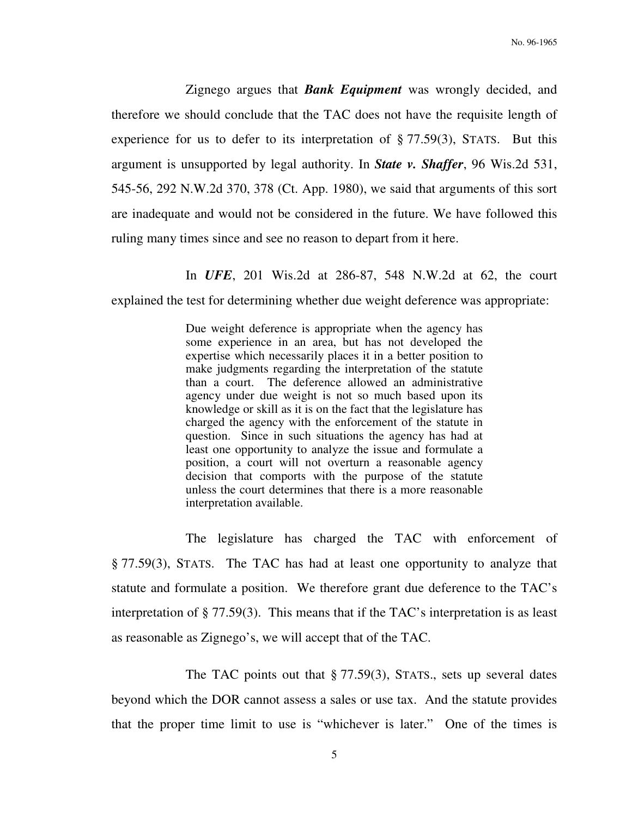Zignego argues that *Bank Equipment* was wrongly decided, and therefore we should conclude that the TAC does not have the requisite length of experience for us to defer to its interpretation of § 77.59(3), STATS. But this argument is unsupported by legal authority. In *State v. Shaffer*, 96 Wis.2d 531, 545-56, 292 N.W.2d 370, 378 (Ct. App. 1980), we said that arguments of this sort are inadequate and would not be considered in the future. We have followed this ruling many times since and see no reason to depart from it here.

In *UFE*, 201 Wis.2d at 286-87, 548 N.W.2d at 62, the court

explained the test for determining whether due weight deference was appropriate:

Due weight deference is appropriate when the agency has some experience in an area, but has not developed the expertise which necessarily places it in a better position to make judgments regarding the interpretation of the statute than a court. The deference allowed an administrative agency under due weight is not so much based upon its knowledge or skill as it is on the fact that the legislature has charged the agency with the enforcement of the statute in question. Since in such situations the agency has had at least one opportunity to analyze the issue and formulate a position, a court will not overturn a reasonable agency decision that comports with the purpose of the statute unless the court determines that there is a more reasonable interpretation available.

 The legislature has charged the TAC with enforcement of § 77.59(3), STATS. The TAC has had at least one opportunity to analyze that statute and formulate a position. We therefore grant due deference to the TAC's interpretation of § 77.59(3). This means that if the TAC's interpretation is as least as reasonable as Zignego's, we will accept that of the TAC.

The TAC points out that  $\S 77.59(3)$ , STATS., sets up several dates beyond which the DOR cannot assess a sales or use tax. And the statute provides that the proper time limit to use is "whichever is later." One of the times is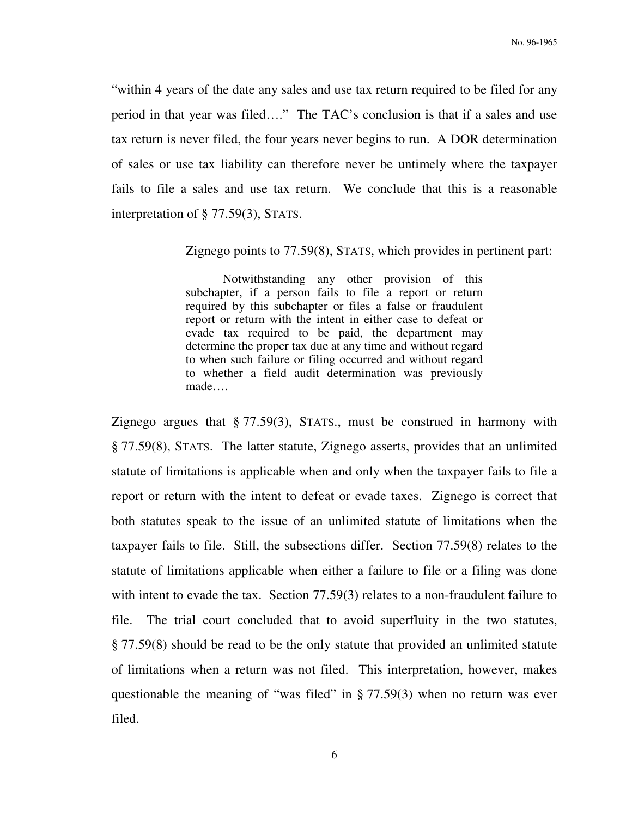"within 4 years of the date any sales and use tax return required to be filed for any period in that year was filed…." The TAC's conclusion is that if a sales and use tax return is never filed, the four years never begins to run. A DOR determination of sales or use tax liability can therefore never be untimely where the taxpayer fails to file a sales and use tax return. We conclude that this is a reasonable interpretation of § 77.59(3), STATS.

Zignego points to 77.59(8), STATS, which provides in pertinent part:

 Notwithstanding any other provision of this subchapter, if a person fails to file a report or return required by this subchapter or files a false or fraudulent report or return with the intent in either case to defeat or evade tax required to be paid, the department may determine the proper tax due at any time and without regard to when such failure or filing occurred and without regard to whether a field audit determination was previously made….

Zignego argues that § 77.59(3), STATS., must be construed in harmony with § 77.59(8), STATS. The latter statute, Zignego asserts, provides that an unlimited statute of limitations is applicable when and only when the taxpayer fails to file a report or return with the intent to defeat or evade taxes. Zignego is correct that both statutes speak to the issue of an unlimited statute of limitations when the taxpayer fails to file. Still, the subsections differ. Section 77.59(8) relates to the statute of limitations applicable when either a failure to file or a filing was done with intent to evade the tax. Section 77.59(3) relates to a non-fraudulent failure to file. The trial court concluded that to avoid superfluity in the two statutes, § 77.59(8) should be read to be the only statute that provided an unlimited statute of limitations when a return was not filed. This interpretation, however, makes questionable the meaning of "was filed" in § 77.59(3) when no return was ever filed.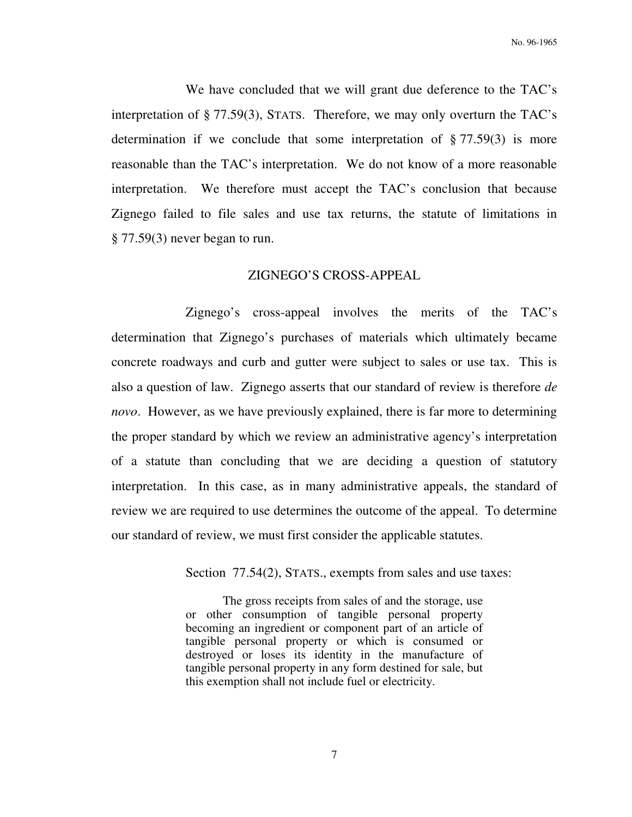We have concluded that we will grant due deference to the TAC's interpretation of § 77.59(3), STATS. Therefore, we may only overturn the TAC's determination if we conclude that some interpretation of  $\S 77.59(3)$  is more reasonable than the TAC's interpretation. We do not know of a more reasonable interpretation. We therefore must accept the TAC's conclusion that because Zignego failed to file sales and use tax returns, the statute of limitations in § 77.59(3) never began to run.

#### ZIGNEGO'S CROSS-APPEAL

 Zignego's cross-appeal involves the merits of the TAC's determination that Zignego's purchases of materials which ultimately became concrete roadways and curb and gutter were subject to sales or use tax. This is also a question of law. Zignego asserts that our standard of review is therefore *de novo*. However, as we have previously explained, there is far more to determining the proper standard by which we review an administrative agency's interpretation of a statute than concluding that we are deciding a question of statutory interpretation. In this case, as in many administrative appeals, the standard of review we are required to use determines the outcome of the appeal. To determine our standard of review, we must first consider the applicable statutes.

Section 77.54(2), STATS., exempts from sales and use taxes:

 The gross receipts from sales of and the storage, use or other consumption of tangible personal property becoming an ingredient or component part of an article of tangible personal property or which is consumed or destroyed or loses its identity in the manufacture of tangible personal property in any form destined for sale, but this exemption shall not include fuel or electricity.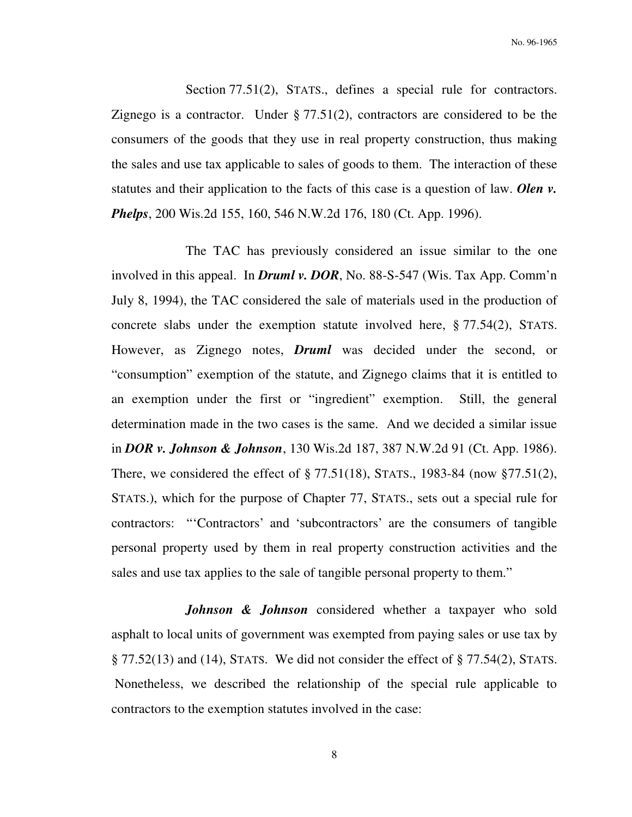Section 77.51(2), STATS., defines a special rule for contractors. Zignego is a contractor. Under  $\S 77.51(2)$ , contractors are considered to be the consumers of the goods that they use in real property construction, thus making the sales and use tax applicable to sales of goods to them. The interaction of these statutes and their application to the facts of this case is a question of law. *Olen v. Phelps*, 200 Wis.2d 155, 160, 546 N.W.2d 176, 180 (Ct. App. 1996).

 The TAC has previously considered an issue similar to the one involved in this appeal. In *Druml v. DOR*, No. 88-S-547 (Wis. Tax App. Comm'n July 8, 1994), the TAC considered the sale of materials used in the production of concrete slabs under the exemption statute involved here, § 77.54(2), STATS. However, as Zignego notes, *Druml* was decided under the second, or "consumption" exemption of the statute, and Zignego claims that it is entitled to an exemption under the first or "ingredient" exemption. Still, the general determination made in the two cases is the same. And we decided a similar issue in *DOR v. Johnson & Johnson*, 130 Wis.2d 187, 387 N.W.2d 91 (Ct. App. 1986). There, we considered the effect of § 77.51(18), STATS., 1983-84 (now §77.51(2), STATS.), which for the purpose of Chapter 77, STATS., sets out a special rule for contractors: "'Contractors' and 'subcontractors' are the consumers of tangible personal property used by them in real property construction activities and the sales and use tax applies to the sale of tangible personal property to them."

*Johnson & Johnson* considered whether a taxpayer who sold asphalt to local units of government was exempted from paying sales or use tax by  $\S 77.52(13)$  and (14), STATS. We did not consider the effect of  $\S 77.54(2)$ , STATS. Nonetheless, we described the relationship of the special rule applicable to contractors to the exemption statutes involved in the case: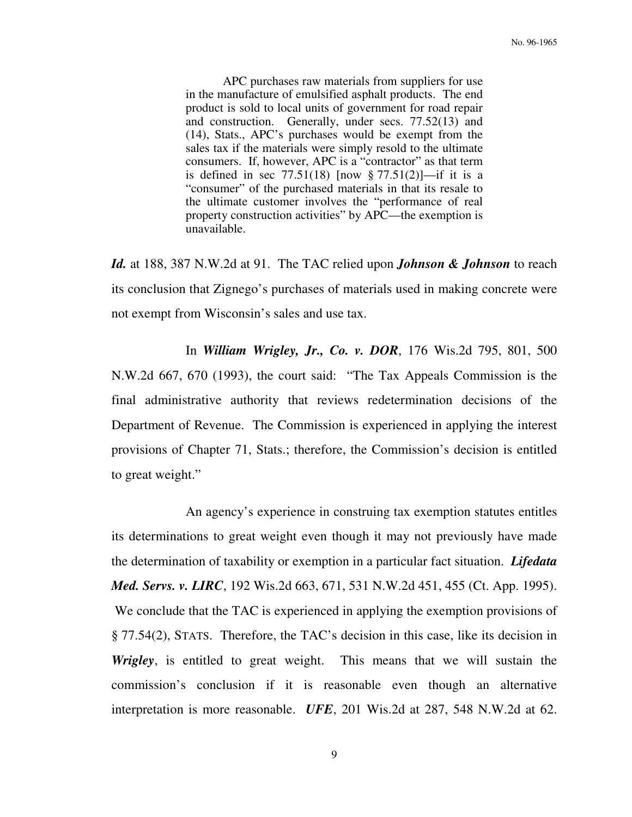APC purchases raw materials from suppliers for use in the manufacture of emulsified asphalt products. The end product is sold to local units of government for road repair and construction. Generally, under secs. 77.52(13) and (14), Stats., APC's purchases would be exempt from the sales tax if the materials were simply resold to the ultimate consumers. If, however, APC is a "contractor" as that term is defined in sec  $77.51(18)$  [now §  $77.51(2)$ ]—if it is a "consumer" of the purchased materials in that its resale to the ultimate customer involves the "performance of real property construction activities" by APC—the exemption is unavailable.

*Id.* at 188, 387 N.W.2d at 91. The TAC relied upon *Johnson & Johnson* to reach its conclusion that Zignego's purchases of materials used in making concrete were not exempt from Wisconsin's sales and use tax.

 In *William Wrigley, Jr., Co. v. DOR*, 176 Wis.2d 795, 801, 500 N.W.2d 667, 670 (1993), the court said: "The Tax Appeals Commission is the final administrative authority that reviews redetermination decisions of the Department of Revenue. The Commission is experienced in applying the interest provisions of Chapter 71, Stats.; therefore, the Commission's decision is entitled to great weight."

 An agency's experience in construing tax exemption statutes entitles its determinations to great weight even though it may not previously have made the determination of taxability or exemption in a particular fact situation. *Lifedata Med. Servs. v. LIRC*, 192 Wis.2d 663, 671, 531 N.W.2d 451, 455 (Ct. App. 1995). We conclude that the TAC is experienced in applying the exemption provisions of § 77.54(2), STATS. Therefore, the TAC's decision in this case, like its decision in *Wrigley*, is entitled to great weight. This means that we will sustain the commission's conclusion if it is reasonable even though an alternative interpretation is more reasonable. *UFE*, 201 Wis.2d at 287, 548 N.W.2d at 62.